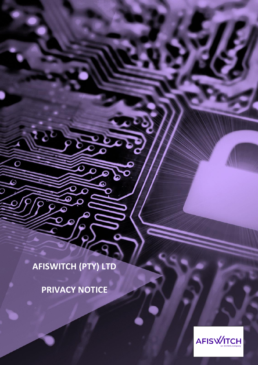**AFISWITCH (PTY) LTD**

۵

Ō

۵

 $\overline{\mathcal{P}}$ 

 $\bullet$ 

**PRIVACY NOTICE**



1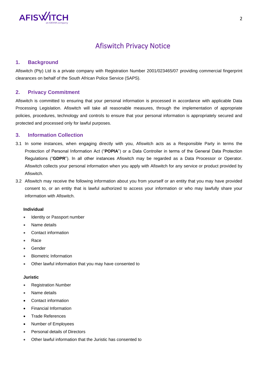

# Afiswitch Privacy Notice

# **1. Background**

Afiswitch (Pty) Ltd is a private company with Registration Number 2001/023465/07 providing commercial fingerprint clearances on behalf of the South African Police Service (SAPS).

### **2. Privacy Commitment**

Afiswitch is committed to ensuring that your personal information is processed in accordance with applicable Data Processing Legislation. Afiswitch will take all reasonable measures, through the implementation of appropriate policies, procedures, technology and controls to ensure that your personal information is appropriately secured and protected and processed only for lawful purposes.

# **3. Information Collection**

- 3.1 In some instances, when engaging directly with you, Afiswitch acts as a Responsible Party in terms the Protection of Personal Information Act ("**POPIA**") or a Data Controller in terms of the General Data Protection Regulations ("**GDPR**"). In all other instances Afiswitch may be regarded as a Data Processor or Operator. Afiswitch collects your personal information when you apply with Afiswitch for any service or product provided by Afiswitch.
- 3.2 Afiswitch may receive the following information about you from yourself or an entity that you may have provided consent to, or an entity that is lawful authorized to access your information or who may lawfully share your information with Afiswitch.

### **Individual**

- Identity or Passport number
- Name details
- Contact information
- Race
- **Gender**
- Biometric Information
- Other lawful information that you may have consented to

### **Juristic**

- Registration Number
- Name details
- Contact information
- Financial Information
- Trade References
- Number of Employees
- Personal details of Directors
- Other lawful information that the Juristic has consented to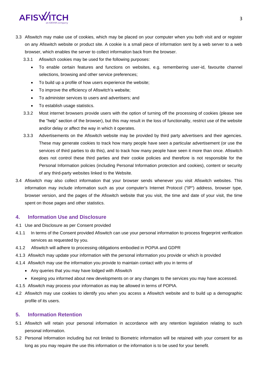

3.3 Afiswitch may make use of cookies, which may be placed on your computer when you both visit and or register on any Afiswitch website or product site. A cookie is a small piece of information sent by a web server to a web browser, which enables the server to collect information back from the browser.

3.3.1 Afiswitch cookies may be used for the following purposes:

- To enable certain features and functions on websites, e.g. remembering user-id, favourite channel selections, browsing and other service preferences;
- To build up a profile of how users experience the website;
- To improve the efficiency of Afiswitch's website;
- To administer services to users and advertisers; and
- To establish usage statistics.
- 3.3.2 Most internet browsers provide users with the option of turning off the processing of cookies (please see the "help" section of the browser), but this may result in the loss of functionality, restrict use of the website and/or delay or affect the way in which it operates.
- 3.3.3 Advertisements on the Afiswitch website may be provided by third party advertisers and their agencies. These may generate cookies to track how many people have seen a particular advertisement (or use the services of third parties to do this), and to track how many people have seen it more than once. Afiswitch does not control these third parties and their cookie policies and therefore is not responsible for the Personal Information policies (including Personal Information protection and cookies), content or security of any third-party websites linked to the Website.
- 3.4 Afiswitch may also collect information that your browser sends whenever you visit Afiswitch websites. This information may include information such as your computer's Internet Protocol ("IP") address, browser type, browser version, and the pages of the Afiswitch website that you visit, the time and date of your visit, the time spent on those pages and other statistics.

### **4. Information Use and Disclosure**

- 4.1 Use and Disclosure as per Consent provided
- 4.1.1 In terms of the Consent provided Afiswitch can use your personal information to process fingerprint verification services as requested by you.
- 4.1.2 Afiswitch will adhere to processing obligations embodied in POPIA and GDPR
- 4.1.3 Afiswitch may update your information with the personal information you provide or which is provided
- 4.1.4 Afiswitch may use the information you provide to maintain contact with you in terms of
	- Any queries that you may have lodged with Afiswitch
	- Keeping you informed about new developments on or any changes to the services you may have accessed.
- 4.1.5 Afiswitch may process your information as may be allowed in terms of POPIA.
- 4.2 Afiswitch may use cookies to identify you when you access a Afiswitch website and to build up a demographic profile of its users.

### **5. Information Retention**

- 5.1 Afiswitch will retain your personal information in accordance with any retention legislation relating to such personal information.
- 5.2 Personal Information including but not limited to Biometric information will be retained with your consent for as long as you may require the use this information or the information is to be used for your benefit.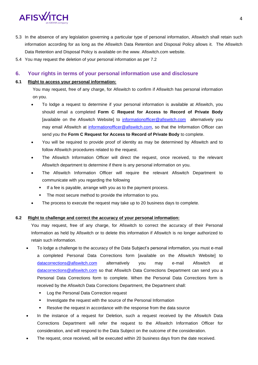

- 5.3 In the absence of any legislation governing a particular type of personal information, Afiswitch shall retain such information according for as long as the Afiswitch Data Retention and Disposal Policy allows it. The Afiswitch Data Retention and Disposal Policy is available on the www. Afiswitch.com website.
- 5.4 You may request the deletion of your personal information as per 7.2

# **6. Your rights in terms of your personal information use and disclosure**

# **6.1 Right to access your personal information:**

You may request, free of any charge, for Afiswitch to confirm if Afiswitch has personal information on you.

- To lodge a request to determine if your personal information is available at Afiswitch, you should email a completed **Form C Request for Access to Record of Private Body**  [available on the Afiswitch Website] to [informationofficer@afiswitch.com](mailto:informationofficer@afiswitch.com) alternatively you may email Afiswitch at [informationofficer@afiswitch.com,](mailto:informationofficer@afiswitch.com) so that the Information Officer can send you the **Form C Request for Access to Record of Private Body** to complete.
- You will be required to provide proof of identity as may be determined by Afiswitch and to follow Afiswitch procedures related to the request.
- The Afiswitch Information Officer will direct the request, once received, to the relevant Afiswitch department to determine if there is any personal information on you.
- The Afiswitch Information Officer will require the relevant Afiswitch Department to communicate with you regarding the following
	- **.** If a fee is payable, arrange with you as to the payment process.
	- The most secure method to provide the information to you.
- The process to execute the request may take up to 20 business days to complete.

# **6.2 Right to challenge and correct the accuracy of your personal information:**

You may request, free of any charge, for Afiswitch to correct the accuracy of their Personal Information as held by Afiswitch or to delete this information if Afiswitch is no longer authorized to retain such information.

- To lodge a challenge to the accuracy of the Data Subject's personal information, you must e-mail a completed Personal Data Corrections form [available on the Afiswitch Website] to [datacorrections@afiswitch.com](mailto:datacorrections@afiswitch.com) alternatively you may e-mail Afiswitch at [datacorrections@afiswitch.com](mailto:datacorrections@afiswitch.com) so that Afiswitch Data Corrections Department can send you a Personal Data Corrections form to complete. When the Personal Data Corrections form is received by the Afiswitch Data Corrections Department, the Department shall:
	- Log the Personal Data Correction request
	- **EXEDENT Investigate the request with the source of the Personal Information**
	- Resolve the request in accordance with the response from the data source
- In the instance of a request for Deletion, such a request received by the Afiswitch Data Corrections Department will refer the request to the Afiswitch Information Officer for consideration, and will respond to the Data Subject on the outcome of the consideration.
- The request, once received, will be executed within 20 business days from the date received.